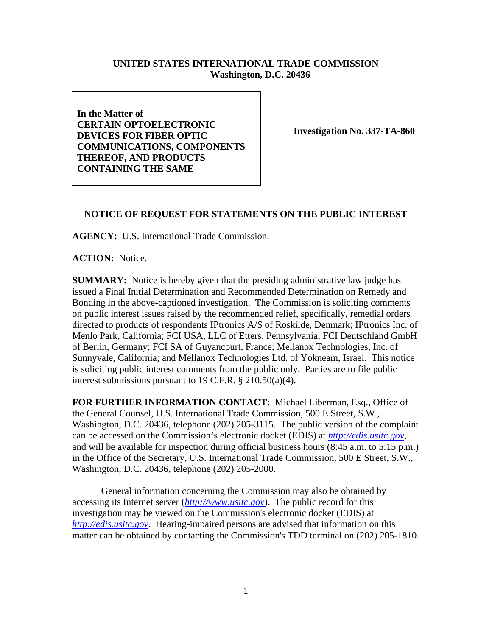## **UNITED STATES INTERNATIONAL TRADE COMMISSION Washington, D.C. 20436**

**In the Matter of CERTAIN OPTOELECTRONIC DEVICES FOR FIBER OPTIC COMMUNICATIONS, COMPONENTS THEREOF, AND PRODUCTS CONTAINING THE SAME** 

**Investigation No. 337-TA-860** 

## **NOTICE OF REQUEST FOR STATEMENTS ON THE PUBLIC INTEREST**

**AGENCY:** U.S. International Trade Commission.

**ACTION:** Notice.

**SUMMARY:** Notice is hereby given that the presiding administrative law judge has issued a Final Initial Determination and Recommended Determination on Remedy and Bonding in the above-captioned investigation. The Commission is soliciting comments on public interest issues raised by the recommended relief, specifically, remedial orders directed to products of respondents IPtronics A/S of Roskilde, Denmark; IPtronics Inc. of Menlo Park, California; FCI USA, LLC of Etters, Pennsylvania; FCI Deutschland GmbH of Berlin, Germany; FCI SA of Guyancourt, France; Mellanox Technologies, Inc. of Sunnyvale, California; and Mellanox Technologies Ltd. of Yokneam, Israel. This notice is soliciting public interest comments from the public only. Parties are to file public interest submissions pursuant to 19 C.F.R. § 210.50(a)(4).

**FOR FURTHER INFORMATION CONTACT:** Michael Liberman, Esq., Office of the General Counsel, U.S. International Trade Commission, 500 E Street, S.W., Washington, D.C. 20436, telephone (202) 205-3115. The public version of the complaint can be accessed on the Commission's electronic docket (EDIS) at *http://edis.usitc.gov*, and will be available for inspection during official business hours (8:45 a.m. to 5:15 p.m.) in the Office of the Secretary, U.S. International Trade Commission, 500 E Street, S.W., Washington, D.C. 20436, telephone (202) 205-2000.

General information concerning the Commission may also be obtained by accessing its Internet server (*http://www.usitc.gov*). The public record for this investigation may be viewed on the Commission's electronic docket (EDIS) at *http://edis.usitc.gov.* Hearing-impaired persons are advised that information on this matter can be obtained by contacting the Commission's TDD terminal on (202) 205-1810.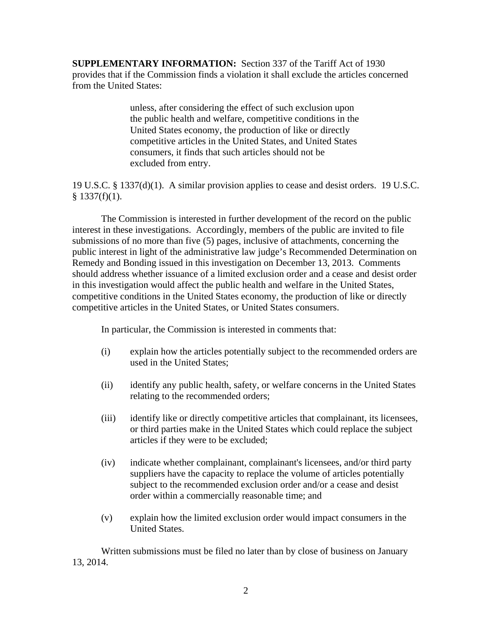**SUPPLEMENTARY INFORMATION:** Section 337 of the Tariff Act of 1930 provides that if the Commission finds a violation it shall exclude the articles concerned from the United States:

> unless, after considering the effect of such exclusion upon the public health and welfare, competitive conditions in the United States economy, the production of like or directly competitive articles in the United States, and United States consumers, it finds that such articles should not be excluded from entry.

19 U.S.C. § 1337(d)(1). A similar provision applies to cease and desist orders. 19 U.S.C.  $§$  1337(f)(1).

The Commission is interested in further development of the record on the public interest in these investigations. Accordingly, members of the public are invited to file submissions of no more than five (5) pages, inclusive of attachments, concerning the public interest in light of the administrative law judge's Recommended Determination on Remedy and Bonding issued in this investigation on December 13, 2013. Comments should address whether issuance of a limited exclusion order and a cease and desist order in this investigation would affect the public health and welfare in the United States, competitive conditions in the United States economy, the production of like or directly competitive articles in the United States, or United States consumers.

In particular, the Commission is interested in comments that:

- (i) explain how the articles potentially subject to the recommended orders are used in the United States;
- (ii) identify any public health, safety, or welfare concerns in the United States relating to the recommended orders;
- (iii) identify like or directly competitive articles that complainant, its licensees, or third parties make in the United States which could replace the subject articles if they were to be excluded;
- (iv) indicate whether complainant, complainant's licensees, and/or third party suppliers have the capacity to replace the volume of articles potentially subject to the recommended exclusion order and/or a cease and desist order within a commercially reasonable time; and
- (v) explain how the limited exclusion order would impact consumers in the United States.

Written submissions must be filed no later than by close of business on January 13, 2014.